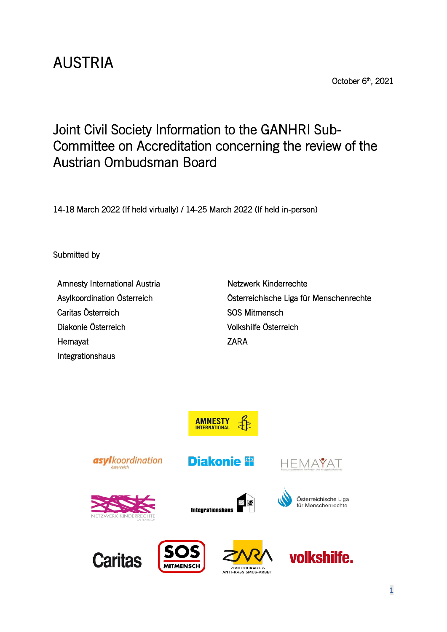# AUSTRIA

October 6<sup>th</sup>, 2021

# Joint Civil Society Information to the GANHRI Sub-Committee on Accreditation concerning the review of the Austrian Ombudsman Board

14-18 March 2022 (If held virtually) / 14-25 March 2022 (If held in-person)

Submitted by

Amnesty International Austria Netzwerk Kinderrechte Caritas Österreich **SOS Mitmensch** Diakonie Österreich Volkshilfe Österreich Hemayat **ZARA** Integrationshaus

Asylkoordination Österreich Österreichische Liga für Menschenrechte

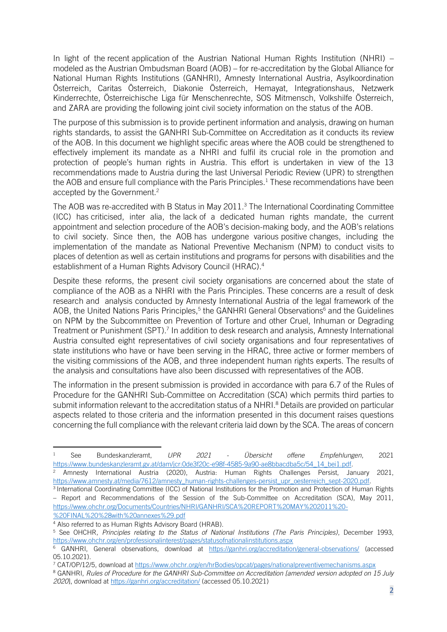In light of the recent application of the Austrian National Human Rights Institution (NHRI) – modeled as the Austrian Ombudsman Board (AOB) – for re-accreditation by the Global Alliance for National Human Rights Institutions (GANHRI), Amnesty International Austria, Asylkoordination Österreich, Caritas Österreich, Diakonie Österreich, Hemayat, Integrationshaus, Netzwerk Kinderrechte, Österreichische Liga für Menschenrechte, SOS Mitmensch, Volkshilfe Österreich, and ZARA are providing the following joint civil society information on the status of the AOB.

The purpose of this submission is to provide pertinent information and analysis, drawing on human rights standards, to assist the GANHRI Sub-Committee on Accreditation as it conducts its review of the AOB. In this document we highlight specific areas where the AOB could be strengthened to effectively implement its mandate as a NHRI and fulfil its crucial role in the promotion and protection of people's human rights in Austria. This effort is undertaken in view of the 13 recommendations made to Austria during the last Universal Periodic Review (UPR) to strengthen the AOB and ensure full compliance with the Paris Principles.<sup>1</sup> These recommendations have been accepted by the Government.<sup>2</sup>

The AOB was re-accredited with B Status in May 2011.<sup>3</sup> The International Coordinating Committee (ICC) has criticised, inter alia, the lack of a dedicated human rights mandate, the current appointment and selection procedure of the AOB's decision-making body, and the AOB's relations to civil society. Since then, the AOB has undergone various positive changes, including the implementation of the mandate as National Preventive Mechanism (NPM) to conduct visits to places of detention as well as certain institutions and programs for persons with disabilities and the establishment of a Human Rights Advisory Council (HRAC).<sup>4</sup>

Despite these reforms, the present civil society organisations are concerned about the state of compliance of the AOB as a NHRI with the Paris Principles. These concerns are a result of desk research and analysis conducted by Amnesty International Austria of the legal framework of the AOB, the United Nations Paris Principles,<sup>5</sup> the GANHRI General Observations<sup>6</sup> and the Guidelines on NPM by the Subcommittee on Prevention of Torture and other Cruel, Inhuman or Degrading Treatment or Punishment (SPT).<sup>7</sup> In addition to desk research and analysis, Amnesty International Austria consulted eight representatives of civil society organisations and four representatives of state institutions who have or have been serving in the HRAC, three active or former members of the visiting commissions of the AOB, and three independent human rights experts. The results of the analysis and consultations have also been discussed with representatives of the AOB.

The information in the present submission is provided in accordance with para 6.7 of the Rules of Procedure for the GANHRI Sub-Committee on Accreditation (SCA) which permits third parties to submit information relevant to the accreditation status of a NHRI. <sup>8</sup> Details are provided on particular aspects related to those criteria and the information presented in this document raises questions concerning the full compliance with the relevant criteria laid down by the SCA. The areas of concern

<sup>1</sup> See Bundeskanzleramt, *UPR 2021 - Übersicht offene Empfehlungen*, 2021 [https://www.bundeskanzleramt.gv.at/dam/jcr:0de3f20c-e98f-4585-9a90-ae8bbacdba5c/54\\_14\\_bei1.pdf.](https://www.bundeskanzleramt.gv.at/dam/jcr:0de3f20c-e98f-4585-9a90-ae8bbacdba5c/54_14_bei1.pdf) <sup>2</sup> Amnesty International Austria (2020), Austria: Human Rights Challenges Persist, January 2021,

[https://www.amnesty.at/media/7612/amnesty\\_human-rights-challenges-persist\\_upr\\_oesterreich\\_sept-2020.pdf.](https://www.amnesty.at/media/7612/amnesty_human-rights-challenges-persist_upr_oesterreich_sept-2020.pdf)

<sup>3</sup> International Coordinating Committee (ICC) of National Institutions for the Promotion and Protection of Human Rights – Report and Recommendations of the Session of the Sub-Committee on Accreditation (SCA), May 2011, [https://www.ohchr.org/Documents/Countries/NHRI/GANHRI/SCA%20REPORT%20MAY%202011%20-](https://www.ohchr.org/Documents/Countries/NHRI/GANHRI/SCA%20REPORT%20MAY%202011%20-%20FINAL%20%28with%20annexes%29.pdf) [%20FINAL%20%28with%20annexes%29.pdf](https://www.ohchr.org/Documents/Countries/NHRI/GANHRI/SCA%20REPORT%20MAY%202011%20-%20FINAL%20%28with%20annexes%29.pdf)

<sup>4</sup> Also referred to as Human Rights Advisory Board (HRAB).

<sup>5</sup> See OHCHR, *Principles relating to the Status of National Institutions (The Paris Principles)*, December 1993, <https://www.ohchr.org/en/professionalinterest/pages/statusofnationalinstitutions.aspx>

<sup>6</sup> GANHRI, General observations, download at <https://ganhri.org/accreditation/general-observations/> (accessed 05.10.2021).

<sup>7</sup> CAT/OP/12/5, download at<https://www.ohchr.org/en/hrBodies/opcat/pages/nationalpreventivemechanisms.aspx>

<sup>8</sup> GANHRI, *Rules of Procedure for the GANHRI Sub-Committee on Accreditation [amended version adopted on 15 July 2020*], download at<https://ganhri.org/accreditation/> (accessed 05.10.2021)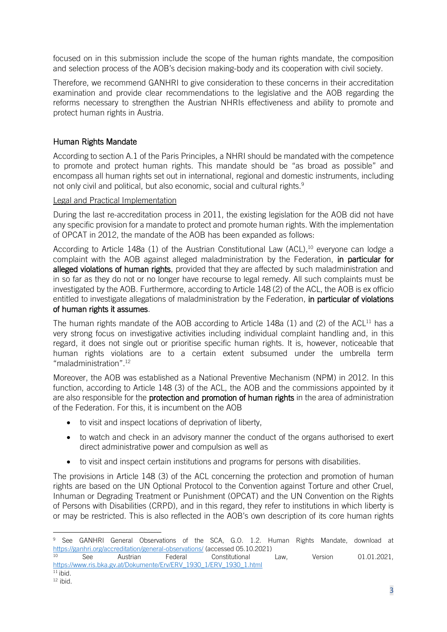focused on in this submission include the scope of the human rights mandate, the composition and selection process of the AOB's decision making-body and its cooperation with civil society.

Therefore, we recommend GANHRI to give consideration to these concerns in their accreditation examination and provide clear recommendations to the legislative and the AOB regarding the reforms necessary to strengthen the Austrian NHRIs effectiveness and ability to promote and protect human rights in Austria.

# Human Rights Mandate

According to section A.1 of the Paris Principles, a NHRI should be mandated with the competence to promote and protect human rights. This mandate should be "as broad as possible" and encompass all human rights set out in international, regional and domestic instruments, including not only civil and political, but also economic, social and cultural rights.<sup>9</sup>

#### Legal and Practical Implementation

During the last re-accreditation process in 2011, the existing legislation for the AOB did not have any specific provision for a mandate to protect and promote human rights. With the implementation of OPCAT in 2012, the mandate of the AOB has been expanded as follows:

According to Article 148a (1) of the Austrian Constitutional Law (ACL), <sup>10</sup> everyone can lodge a complaint with the AOB against alleged maladministration by the Federation, in particular for alleged violations of human rights, provided that they are affected by such maladministration and in so far as they do not or no longer have recourse to legal remedy. All such complaints must be investigated by the AOB. Furthermore, according to Article 148 (2) of the ACL, the AOB is ex officio entitled to investigate allegations of maladministration by the Federation, in particular of violations of human rights it assumes.

The human rights mandate of the AOB according to Article 148a (1) and (2) of the ACL $^{11}$  has a very strong focus on investigative activities including individual complaint handling and, in this regard, it does not single out or prioritise specific human rights. It is, however, noticeable that human rights violations are to a certain extent subsumed under the umbrella term "maladministration".<sup>12</sup>

Moreover, the AOB was established as a National Preventive Mechanism (NPM) in 2012. In this function, according to Article 148 (3) of the ACL, the AOB and the commissions appointed by it are also responsible for the **protection and promotion of human rights** in the area of administration of the Federation. For this, it is incumbent on the AOB

- to visit and inspect locations of deprivation of liberty,
- to watch and check in an advisory manner the conduct of the organs authorised to exert direct administrative power and compulsion as well as
- to visit and inspect certain institutions and programs for persons with disabilities.

The provisions in Article 148 (3) of the ACL concerning the protection and promotion of human rights are based on the UN Optional Protocol to the Convention against Torture and other Cruel, Inhuman or Degrading Treatment or Punishment (OPCAT) and the UN Convention on the Rights of Persons with Disabilities (CRPD), and in this regard, they refer to institutions in which liberty is or may be restricted. This is also reflected in the AOB's own description of its core human rights

<sup>&</sup>lt;sup>9</sup> See GANHRI General Observations of the SCA, G.O. 1.2. Human Rights Mandate, download at <https://ganhri.org/accreditation/general-observations/> (accessed 05.10.2021)<br><sup>10</sup> See Austrian Federal Constitutional

<sup>10</sup> See Austrian Federal Constitutional Law, Version 01.01.2021, [https://www.ris.bka.gv.at/Dokumente/Erv/ERV\\_1930\\_1/ERV\\_1930\\_1.html](https://www.ris.bka.gv.at/Dokumente/Erv/ERV_1930_1/ERV_1930_1.html) 

 $11$  ibid.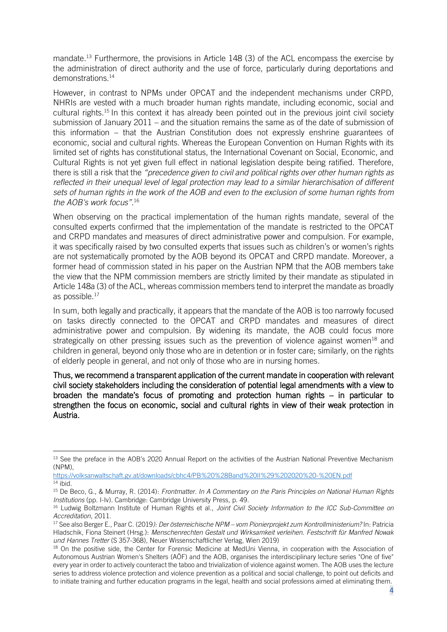mandate.<sup>13</sup> Furthermore, the provisions in Article 148 (3) of the ACL encompass the exercise by the administration of direct authority and the use of force, particularly during deportations and demonstrations.<sup>14</sup>

However, in contrast to NPMs under OPCAT and the independent mechanisms under CRPD, NHRIs are vested with a much broader human rights mandate, including economic, social and cultural rights.<sup>15</sup> In this context it has already been pointed out in the previous joint civil society submission of January 2011 – and the situation remains the same as of the date of submission of this information – that the Austrian Constitution does not expressly enshrine guarantees of economic, social and cultural rights. Whereas the European Convention on Human Rights with its limited set of rights has constitutional status, the International Covenant on Social, Economic, and Cultural Rights is not yet given full effect in national legislation despite being ratified. Therefore, there is still a risk that the *"precedence given to civil and political rights over other human rights as reflected in their unequal level of legal protection may lead to a similar hierarchisation of different sets of human rights in the work of the AOB and even to the exclusion of some human rights from the AOB's work focus"*. 16

When observing on the practical implementation of the human rights mandate, several of the consulted experts confirmed that the implementation of the mandate is restricted to the OPCAT and CRPD mandates and measures of direct administrative power and compulsion. For example, it was specifically raised by two consulted experts that issues such as children's or women's rights are not systematically promoted by the AOB beyond its OPCAT and CRPD mandate. Moreover, a former head of commission stated in his paper on the Austrian NPM that the AOB members take the view that the NPM commission members are strictly limited by their mandate as stipulated in Article 148a (3) of the ACL, whereas commission members tend to interpret the mandate as broadly as possible.<sup>17</sup>

In sum, both legally and practically, it appears that the mandate of the AOB is too narrowly focused on tasks directly connected to the OPCAT and CRPD mandates and measures of direct administrative power and compulsion. By widening its mandate, the AOB could focus more strategically on other pressing issues such as the prevention of violence against women<sup>18</sup> and children in general, beyond only those who are in detention or in foster care; similarly, on the rights of elderly people in general, and not only of those who are in nursing homes.

Thus, we recommend a transparent application of the current mandate in cooperation with relevant civil society stakeholders including the consideration of potential legal amendments with a view to broaden the mandate's focus of promoting and protection human rights – in particular to strengthen the focus on economic, social and cultural rights in view of their weak protection in Austria.

<sup>&</sup>lt;sup>13</sup> See the preface in the AOB's 2020 Annual Report on the activities of the Austrian National Preventive Mechanism (NPM),

<https://volksanwaltschaft.gv.at/downloads/cbhc4/PB%20%28Band%20II%29%202020%20-%20EN.pdf>  $14$  ibid.

<sup>15</sup> De Beco, G., & Murray, R. (2014): *Frontmatter. In A Commentary on the Paris Principles on National Human Rights Institutions* (pp. I-Iv). Cambridge: Cambridge University Press, p. 49.

<sup>16</sup> Ludwig Boltzmann Institute of Human Rights et al., *Joint Civil Society Information to the ICC Sub-Committee on Accreditation*, 2011.

<sup>17</sup> See also Berger E., Paar C. (2019*): Der österreichische NPM – vom Pionierprojekt zum Kontrollministerium?* In: Patricia Hladschik, Fiona Steinert (Hrsg.): *Menschenrechten Gestalt und Wirksamkeit verleihen. Festschrift für Manfred Nowak und Hannes Tretter* (S 357-368), Neuer Wissenschaftlicher Verlag, Wien 2019)

<sup>&</sup>lt;sup>18</sup> On the positive side, the Center for Forensic Medicine at MedUni Vienna, in cooperation with the Association of Autonomous Austrian Women's Shelters (AÖF) and the AOB, organises the interdisciplinary lecture series "One of five" every year in order to actively counteract the taboo and trivialization of violence against women. The AOB uses the lecture series to address violence protection and violence prevention as a political and social challenge, to point out deficits and to initiate training and further education programs in the legal, health and social professions aimed at eliminating them.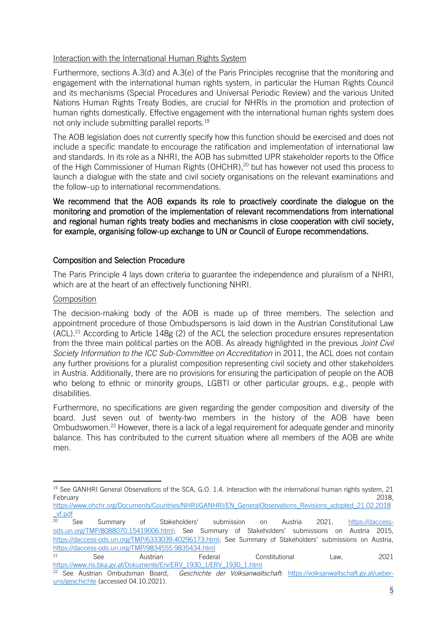#### Interaction with the International Human Rights System

Furthermore, sections A.3(d) and A.3(e) of the Paris Principles recognise that the monitoring and engagement with the international human rights system, in particular the Human Rights Council and its mechanisms (Special Procedures and Universal Periodic Review) and the various United Nations Human Rights Treaty Bodies, are crucial for NHRIs in the promotion and protection of human rights domestically. Effective engagement with the international human rights system does not only include submitting parallel reports. 19

The AOB legislation does not currently specify how this function should be exercised and does not include a specific mandate to encourage the ratification and implementation of international law and standards. In its role as a NHRI, the AOB has submitted UPR stakeholder reports to the Office of the High Commissioner of Human Rights (OHCHR), <sup>20</sup> but has however not used this process to launch a dialogue with the state and civil society organisations on the relevant examinations and the follow–up to international recommendations.

We recommend that the AOB expands its role to proactively coordinate the dialogue on the monitoring and promotion of the implementation of relevant recommendations from international and regional human rights treaty bodies and mechanisms in close cooperation with civil society, for example, organising follow-up exchange to UN or Council of Europe recommendations.

# Composition and Selection Procedure

The Paris Principle 4 lays down criteria to guarantee the independence and pluralism of a NHRI, which are at the heart of an effectively functioning NHRI.

# Composition

The decision-making body of the AOB is made up of three members. The selection and appointment procedure of those Ombudspersons is laid down in the Austrian Constitutional Law (ACL). <sup>21</sup> According to Article 148g (2) of the ACL the selection procedure ensures representation from the three main political parties on the AOB. As already highlighted in the previous *Joint Civil Society Information to the ICC Sub-Committee on Accreditation* in 2011, the ACL does not contain any further provisions for a pluralist composition representing civil society and other stakeholders in Austria. Additionally, there are no provisions for ensuring the participation of people on the AOB who belong to ethnic or minority groups, LGBTI or other particular groups, e.g., people with disabilities.

Furthermore, no specifications are given regarding the gender composition and diversity of the board. Just seven out of twenty-two members in the history of the AOB have been Ombudswomen.<sup>22</sup> However, there is a lack of a legal requirement for adequate gender and minority balance. This has contributed to the current situation where all members of the AOB are white men.

<sup>&</sup>lt;sup>19</sup> See GANHRI General Observations of the SCA, G.O. 1.4. Interaction with the international human rights system, 21 February 2018,

[https://www.ohchr.org/Documents/Countries/NHRI/GANHRI/EN\\_GeneralObservations\\_Revisions\\_adopted\\_21.02.2018](https://www.ohchr.org/Documents/Countries/NHRI/GANHRI/EN_GeneralObservations_Revisions_adopted_21.02.2018_vf.pdf)  $\frac{v f. \text{pdf}}{20}$ 

<sup>20</sup> See Summary of Stakeholders' submission on Austria 2021, [https://daccess](https://daccess-ods.un.org/TMP/8088070.15419006.html)[ods.un.org/TMP/8088070.15419006.html;](https://daccess-ods.un.org/TMP/8088070.15419006.html) See Summary of Stakeholders' submissions on Austria 2015, [https://daccess-ods.un.org/TMP/6333039.40296173.html;](https://daccess-ods.un.org/TMP/6333039.40296173.html) See Summary of Stakeholders' submissions on Austria, <https://daccess-ods.un.org/TMP/9834555.9835434.html>

<sup>21</sup> See Austrian Federal Constitutional Law, 2021 [https://www.ris.bka.gv.at/Dokumente/Erv/ERV\\_1930\\_1/ERV\\_1930\\_1.html](https://www.ris.bka.gv.at/Dokumente/Erv/ERV_1930_1/ERV_1930_1.html)

<sup>22</sup> See Austrian Ombudsman Board, *Geschichte der Volksanwaltschaft*: [https://volksanwaltschaft.gv.at/ueber](https://volksanwaltschaft.gv.at/ueber-uns/geschichte)[uns/geschichte](https://volksanwaltschaft.gv.at/ueber-uns/geschichte) (accessed 04.10.2021).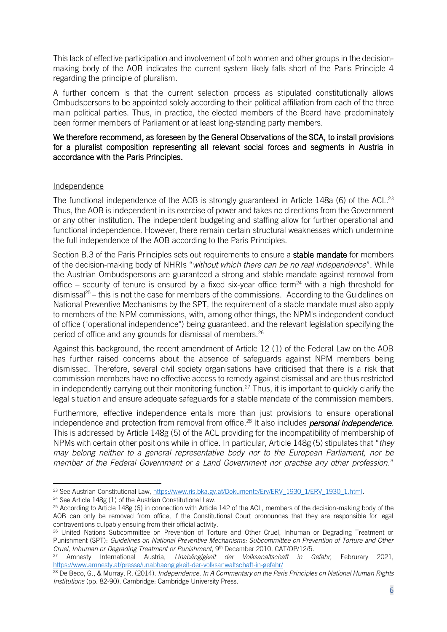This lack of effective participation and involvement of both women and other groups in the decisionmaking body of the AOB indicates the current system likely falls short of the Paris Principle 4 regarding the principle of pluralism.

A further concern is that the current selection process as stipulated constitutionally allows Ombudspersons to be appointed solely according to their political affiliation from each of the three main political parties. Thus, in practice, the elected members of the Board have predominately been former members of Parliament or at least long-standing party members.

#### We therefore recommend, as foreseen by the General Observations of the SCA, to install provisions for a pluralist composition representing all relevant social forces and segments in Austria in accordance with the Paris Principles.

#### Independence

The functional independence of the AOB is strongly guaranteed in Article 148a (6) of the ACL.<sup>23</sup> Thus, the AOB is independent in its exercise of power and takes no directions from the Government or any other institution. The independent budgeting and staffing allow for further operational and functional independence. However, there remain certain structural weaknesses which undermine the full independence of the AOB according to the Paris Principles.

Section B.3 of the Paris Principles sets out requirements to ensure a **stable mandate** for members of the decision-making body of NHRIs "*without which there can be no real independence*". While the Austrian Ombudspersons are guaranteed a strong and stable mandate against removal from office – security of tenure is ensured by a fixed six-year office term<sup>24</sup> with a high threshold for  $\frac{d}{dx}$  dismissal<sup>25</sup> – this is not the case for members of the commissions. According to the Guidelines on National Preventive Mechanisms by the SPT, the requirement of a stable mandate must also apply to members of the NPM commissions, with, among other things, the NPM's independent conduct of office ("operational independence") being guaranteed, and the relevant legislation specifying the period of office and any grounds for dismissal of members.<sup>26</sup>

Against this background, the recent amendment of Article 12 (1) of the Federal Law on the AOB has further raised concerns about the absence of safeguards against NPM members being dismissed. Therefore, several civil society organisations have criticised that there is a risk that commission members have no effective access to remedy against dismissal and are thus restricted in independently carrying out their monitoring function.<sup>27</sup> Thus, it is important to quickly clarify the legal situation and ensure adequate safeguards for a stable mandate of the commission members.

Furthermore, effective independence entails more than just provisions to ensure operational independence and protection from removal from office. <sup>28</sup> It also includes *personal independence*. This is addressed by Article 148g (5) of the ACL providing for the incompatibility of membership of NPMs with certain other positions while in office. In particular, Article 148g (5) stipulates that "*they may belong neither to a general representative body nor to the European Parliament, nor be member of the Federal Government or a Land Government nor practise any other profession*."

<sup>&</sup>lt;sup>23</sup> See Austrian Constitutional Law, [https://www.ris.bka.gv.at/Dokumente/Erv/ERV\\_1930\\_1/ERV\\_1930\\_1.html.](https://www.ris.bka.gv.at/Dokumente/Erv/ERV_1930_1/ERV_1930_1.html)

<sup>24</sup> See Article 148g (1) of the Austrian Constitutional Law.

 $25$  According to Article 148g (6) in connection with Article 142 of the ACL, members of the decision-making body of the AOB can only be removed from office, if the Constitutional Court pronounces that they are responsible for legal contraventions culpably ensuing from their official activity.

<sup>&</sup>lt;sup>26</sup> United Nations Subcommittee on Prevention of Torture and Other Cruel, Inhuman or Degrading Treatment or Punishment (SPT): *Guidelines on National Preventive Mechanisms: Subcommittee on Prevention of Torture and Other Cruel, Inhuman or Degrading Treatment or Punishment*, 9th December 2010, CAT/OP/12/5.

<sup>27</sup> Amnesty International Austria, *Unabängigkeit der Volksanaltschaft in Gefahr,* Februrary 2021, <https://www.amnesty.at/presse/unabhaengigkeit-der-volksanwaltschaft-in-gefahr/>

<sup>28</sup> De Beco, G., & Murray, R. (2014). *Independence. In A Commentary on the Paris Principles on National Human Rights Institutions* (pp. 82-90). Cambridge: Cambridge University Press.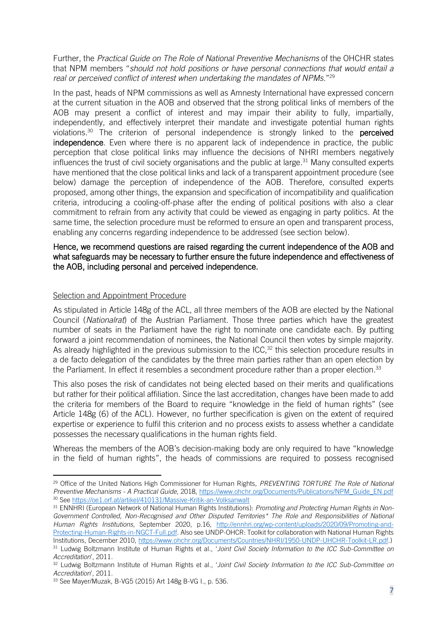Further, the *Practical Guide on The Role of National Preventive Mechanisms* of the OHCHR states that NPM members "*should not hold positions or have personal connections that would entail a real or perceived conflict of interest when undertaking the mandates of NPMs*."<sup>29</sup>

In the past, heads of NPM commissions as well as Amnesty International have expressed concern at the current situation in the AOB and observed that the strong political links of members of the AOB may present a conflict of interest and may impair their ability to fully, impartially, independently, and effectively interpret their mandate and investigate potential human rights violations.<sup>30</sup> The criterion of personal independence is strongly linked to the **perceived** independence. Even where there is no apparent lack of independence in practice, the public perception that close political links may influence the decisions of NHRI members negatively influences the trust of civil society organisations and the public at large.<sup>31</sup> Many consulted experts have mentioned that the close political links and lack of a transparent appointment procedure (see below) damage the perception of independence of the AOB. Therefore, consulted experts proposed, among other things, the expansion and specification of incompatibility and qualification criteria, introducing a cooling-off-phase after the ending of political positions with also a clear commitment to refrain from any activity that could be viewed as engaging in party politics. At the same time, the selection procedure must be reformed to ensure an open and transparent process, enabling any concerns regarding independence to be addressed (see section below).

#### Hence, we recommend questions are raised regarding the current independence of the AOB and what safeguards may be necessary to further ensure the future independence and effectiveness of the AOB, including personal and perceived independence.

#### Selection and Appointment Procedure

As stipulated in Article 148g of the ACL, all three members of the AOB are elected by the National Council (*Nationalrat*) of the Austrian Parliament. Those three parties which have the greatest number of seats in the Parliament have the right to nominate one candidate each. By putting forward a joint recommendation of nominees, the National Council then votes by simple majority. As already highlighted in the previous submission to the ICC,<sup>32</sup> this selection procedure results in a de facto delegation of the candidates by the three main parties rather than an open election by the Parliament. In effect it resembles a secondment procedure rather than a proper election.<sup>33</sup>

This also poses the risk of candidates not being elected based on their merits and qualifications but rather for their political affiliation. Since the last accreditation, changes have been made to add the criteria for members of the Board to require "knowledge in the field of human rights" (see Article 148g (6) of the ACL). However, no further specification is given on the extent of required expertise or experience to fulfil this criterion and no process exists to assess whether a candidate possesses the necessary qualifications in the human rights field.

Whereas the members of the AOB's decision-making body are only required to have "knowledge in the field of human rights", the heads of commissions are required to possess recognised

<sup>29</sup> Office of the United Nations High Commissioner for Human Rights, *PREVENTING TORTURE The Role of National Preventive Mechanisms - A Practical Guide*, 2018, [https://www.ohchr.org/Documents/Publications/NPM\\_Guide\\_EN.pdf](https://www.ohchr.org/Documents/Publications/NPM_Guide_EN.pdf)  <sup>30</sup> See <https://oe1.orf.at/artikel/410131/Massive-Kritik-an-Volksanwalt>

<sup>31</sup> ENNHRI (European Network of National Human Rights Institutions): *Promoting and Protecting Human Rights in Non-*Government Controlled, Non-Recognised and Other Disputed Territories<sup>\*</sup> The Role and Responsibilities of National *Human Rights Institutions*, September 2020, p.16, [http://ennhri.org/wp-content/uploads/2020/09/Promoting-and-](http://ennhri.org/wp-content/uploads/2020/09/Promoting-and-Protecting-Human-Rights-in-NGCT-Full.pdf)[Protecting-Human-Rights-in-NGCT-Full.pdf.](http://ennhri.org/wp-content/uploads/2020/09/Promoting-and-Protecting-Human-Rights-in-NGCT-Full.pdf) Also see UNDP-OHCR: Toolkit for collaboration with National Human Rights Institutions, December 2010, [https://www.ohchr.org/Documents/Countries/NHRI/1950-UNDP-UHCHR-Toolkit-LR.pdf.](https://www.ohchr.org/Documents/Countries/NHRI/1950-UNDP-UHCHR-Toolkit-LR.pdf)) <sup>31</sup> Ludwig Boltzmann Institute of Human Rights et al., '*Joint Civil Society Information to the ICC Sub-Committee on Accreditation*', 2011.

<sup>32</sup> Ludwig Boltzmann Institute of Human Rights et al., '*Joint Civil Society Information to the ICC Sub-Committee on Accreditation*', 2011.

<sup>33</sup> See Mayer/Muzak, B-VG5 (2015) Art 148g B-VG I., p. 536.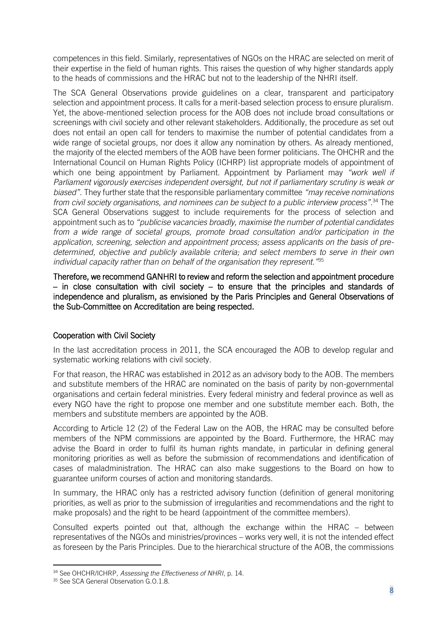competences in this field. Similarly, representatives of NGOs on the HRAC are selected on merit of their expertise in the field of human rights. This raises the question of why higher standards apply to the heads of commissions and the HRAC but not to the leadership of the NHRI itself.

The SCA General Observations provide guidelines on a clear, transparent and participatory selection and appointment process. It calls for a merit-based selection process to ensure pluralism. Yet, the above-mentioned selection process for the AOB does not include broad consultations or screenings with civil society and other relevant stakeholders. Additionally, the procedure as set out does not entail an open call for tenders to maximise the number of potential candidates from a wide range of societal groups, nor does it allow any nomination by others. As already mentioned, the majority of the elected members of the AOB have been former politicians. The OHCHR and the International Council on Human Rights Policy (ICHRP) list appropriate models of appointment of which one being appointment by Parliament. Appointment by Parliament may *"work well if Parliament vigorously exercises independent oversight, but not if parliamentary scrutiny is weak or biased"*. They further state that the responsible parliamentary committee *"may receive nominations from civil society organisations, and nominees can be subject to a public interview process"*. <sup>34</sup> The SCA General Observations suggest to include requirements for the process of selection and appointment such as to *"publicise vacancies broadly, maximise the number of potential candidates from a wide range of societal groups, promote broad consultation and/or participation in the application, screening, selection and appointment process; assess applicants on the basis of predetermined, objective and publicly available criteria; and select members to serve in their own individual capacity rather than on behalf of the organisation they represent."*<sup>35</sup>

Therefore, we recommend GANHRI to review and reform the selection and appointment procedure  $-$  in close consultation with civil society  $-$  to ensure that the principles and standards of independence and pluralism, as envisioned by the Paris Principles and General Observations of the Sub-Committee on Accreditation are being respected.

# Cooperation with Civil Society

In the last accreditation process in 2011, the SCA encouraged the AOB to develop regular and systematic working relations with civil society.

For that reason, the HRAC was established in 2012 as an advisory body to the AOB. The members and substitute members of the HRAC are nominated on the basis of parity by non-governmental organisations and certain federal ministries. Every federal ministry and federal province as well as every NGO have the right to propose one member and one substitute member each. Both, the members and substitute members are appointed by the AOB.

According to Article 12 (2) of the Federal Law on the AOB, the HRAC may be consulted before members of the NPM commissions are appointed by the Board. Furthermore, the HRAC may advise the Board in order to fulfil its human rights mandate, in particular in defining general monitoring priorities as well as before the submission of recommendations and identification of cases of maladministration. The HRAC can also make suggestions to the Board on how to guarantee uniform courses of action and monitoring standards.

In summary, the HRAC only has a restricted advisory function (definition of general monitoring priorities, as well as prior to the submission of irregularities and recommendations and the right to make proposals) and the right to be heard (appointment of the committee members).

Consulted experts pointed out that, although the exchange within the HRAC – between representatives of the NGOs and ministries/provinces – works very well, it is not the intended effect as foreseen by the Paris Principles. Due to the hierarchical structure of the AOB, the commissions

<sup>34</sup> See OHCHR/ICHRP, *Assessing the Effectiveness of NHRI*, p. 14.

<sup>&</sup>lt;sup>35</sup> See SCA General Observation G.O.1.8.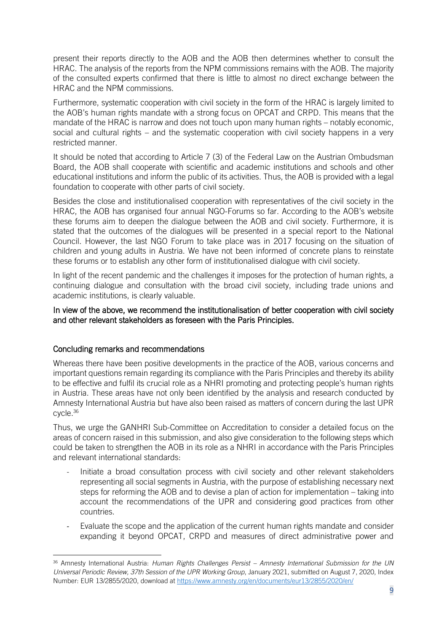present their reports directly to the AOB and the AOB then determines whether to consult the HRAC. The analysis of the reports from the NPM commissions remains with the AOB. The majority of the consulted experts confirmed that there is little to almost no direct exchange between the HRAC and the NPM commissions.

Furthermore, systematic cooperation with civil society in the form of the HRAC is largely limited to the AOB's human rights mandate with a strong focus on OPCAT and CRPD. This means that the mandate of the HRAC is narrow and does not touch upon many human rights – notably economic, social and cultural rights – and the systematic cooperation with civil society happens in a very restricted manner.

It should be noted that according to Article 7 (3) of the Federal Law on the Austrian Ombudsman Board, the AOB shall cooperate with scientific and academic institutions and schools and other educational institutions and inform the public of its activities. Thus, the AOB is provided with a legal foundation to cooperate with other parts of civil society.

Besides the close and institutionalised cooperation with representatives of the civil society in the HRAC, the AOB has organised four annual NGO-Forums so far. According to the AOB's website these forums aim to deepen the dialogue between the AOB and civil society. Furthermore, it is stated that the outcomes of the dialogues will be presented in a special report to the National Council. However, the last NGO Forum to take place was in 2017 focusing on the situation of children and young adults in Austria. We have not been informed of concrete plans to reinstate these forums or to establish any other form of institutionalised dialogue with civil society.

In light of the recent pandemic and the challenges it imposes for the protection of human rights, a continuing dialogue and consultation with the broad civil society, including trade unions and academic institutions, is clearly valuable.

#### In view of the above, we recommend the institutionalisation of better cooperation with civil society and other relevant stakeholders as foreseen with the Paris Principles.

#### Concluding remarks and recommendations

Whereas there have been positive developments in the practice of the AOB, various concerns and important questions remain regarding its compliance with the Paris Principles and thereby its ability to be effective and fulfil its crucial role as a NHRI promoting and protecting people's human rights in Austria. These areas have not only been identified by the analysis and research conducted by Amnesty International Austria but have also been raised as matters of concern during the last UPR cycle.<sup>36</sup>

Thus, we urge the GANHRI Sub-Committee on Accreditation to consider a detailed focus on the areas of concern raised in this submission, and also give consideration to the following steps which could be taken to strengthen the AOB in its role as a NHRI in accordance with the Paris Principles and relevant international standards:

- Initiate a broad consultation process with civil society and other relevant stakeholders representing all social segments in Austria, with the purpose of establishing necessary next steps for reforming the AOB and to devise a plan of action for implementation – taking into account the recommendations of the UPR and considering good practices from other countries.
- Evaluate the scope and the application of the current human rights mandate and consider expanding it beyond OPCAT, CRPD and measures of direct administrative power and

<sup>36</sup> Amnesty International Austria: *Human Rights Challenges Persist – Amnesty International Submission for the UN Universal Periodic Review, 37th Session of the UPR Working Group*, January 2021, submitted on August 7, 2020, Index Number: EUR 13/2855/2020, download at<https://www.amnesty.org/en/documents/eur13/2855/2020/en/>